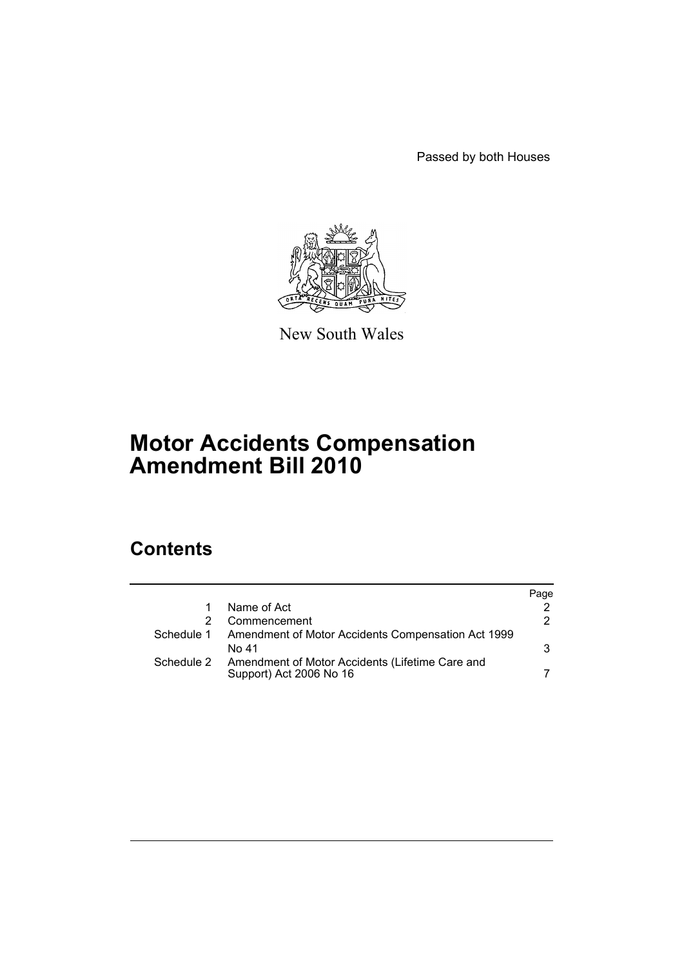Passed by both Houses



New South Wales

# **Motor Accidents Compensation Amendment Bill 2010**

# **Contents**

|            |                                                                            | Page |
|------------|----------------------------------------------------------------------------|------|
|            | Name of Act                                                                |      |
|            | Commencement                                                               | 2    |
|            | Schedule 1 Amendment of Motor Accidents Compensation Act 1999              |      |
|            | No 41                                                                      | 3    |
| Schedule 2 | Amendment of Motor Accidents (Lifetime Care and<br>Support) Act 2006 No 16 |      |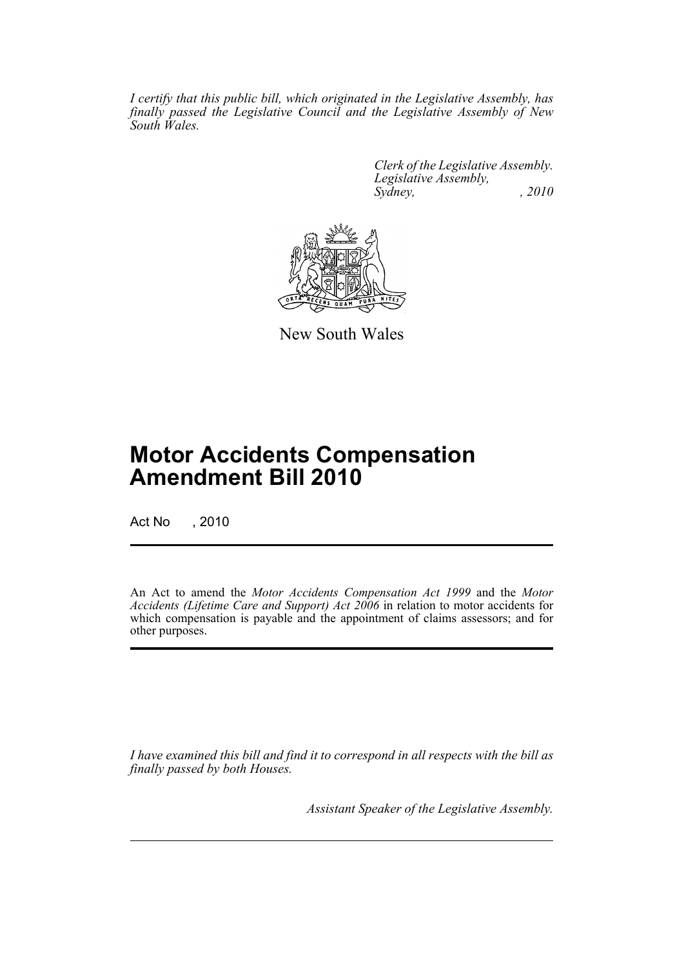*I certify that this public bill, which originated in the Legislative Assembly, has finally passed the Legislative Council and the Legislative Assembly of New South Wales.*

> *Clerk of the Legislative Assembly. Legislative Assembly, Sydney, , 2010*



New South Wales

# **Motor Accidents Compensation Amendment Bill 2010**

Act No , 2010

An Act to amend the *Motor Accidents Compensation Act 1999* and the *Motor Accidents (Lifetime Care and Support) Act 2006* in relation to motor accidents for which compensation is payable and the appointment of claims assessors; and for other purposes.

*I have examined this bill and find it to correspond in all respects with the bill as finally passed by both Houses.*

*Assistant Speaker of the Legislative Assembly.*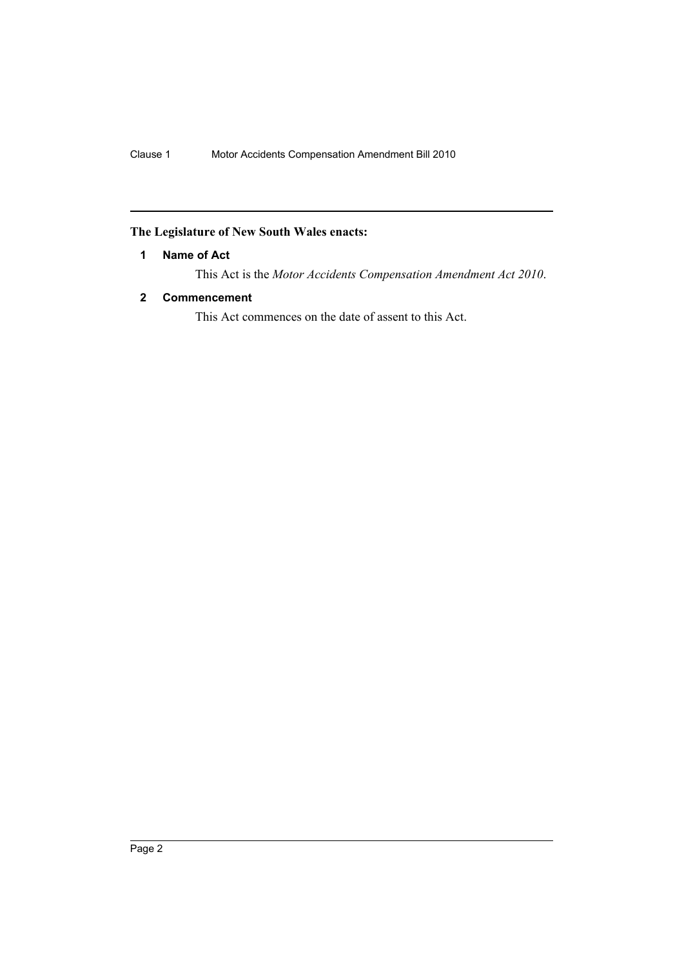# <span id="page-2-0"></span>**The Legislature of New South Wales enacts:**

## **1 Name of Act**

This Act is the *Motor Accidents Compensation Amendment Act 2010*.

#### <span id="page-2-1"></span>**2 Commencement**

This Act commences on the date of assent to this Act.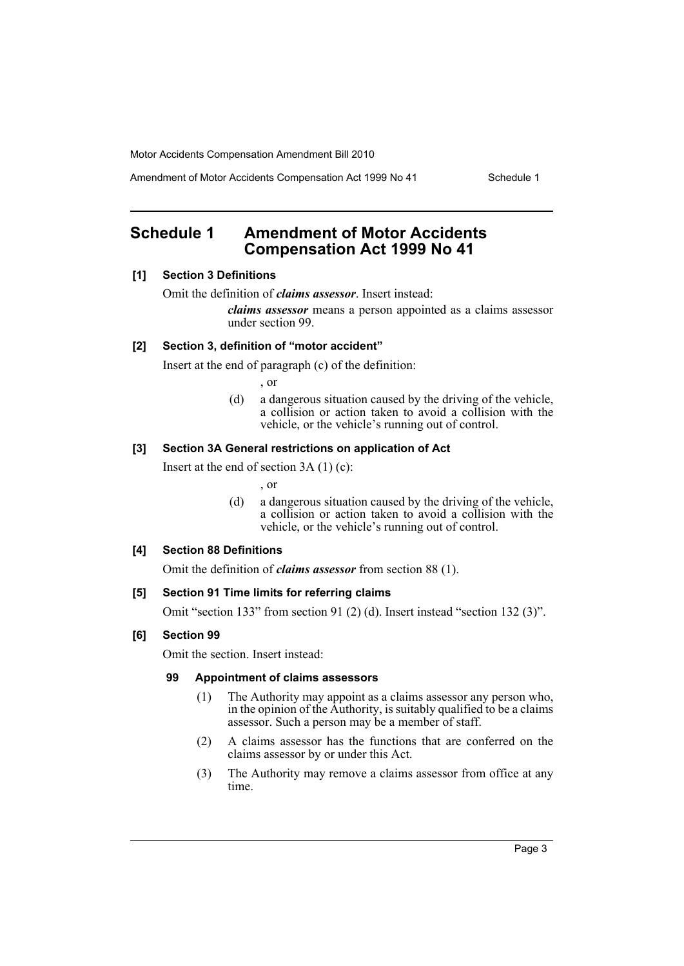Amendment of Motor Accidents Compensation Act 1999 No 41 Schedule 1

# <span id="page-3-0"></span>**Schedule 1 Amendment of Motor Accidents Compensation Act 1999 No 41**

#### **[1] Section 3 Definitions**

Omit the definition of *claims assessor*. Insert instead:

*claims assessor* means a person appointed as a claims assessor under section 99.

### **[2] Section 3, definition of "motor accident"**

Insert at the end of paragraph (c) of the definition:

, or

(d) a dangerous situation caused by the driving of the vehicle, a collision or action taken to avoid a collision with the vehicle, or the vehicle's running out of control.

## **[3] Section 3A General restrictions on application of Act**

Insert at the end of section 3A (1) (c):

, or

(d) a dangerous situation caused by the driving of the vehicle, a collision or action taken to avoid a collision with the vehicle, or the vehicle's running out of control.

#### **[4] Section 88 Definitions**

Omit the definition of *claims assessor* from section 88 (1).

#### **[5] Section 91 Time limits for referring claims**

Omit "section 133" from section 91 (2) (d). Insert instead "section 132 (3)".

#### **[6] Section 99**

Omit the section. Insert instead:

#### **99 Appointment of claims assessors**

- (1) The Authority may appoint as a claims assessor any person who, in the opinion of the Authority, is suitably qualified to be a claims assessor. Such a person may be a member of staff.
- (2) A claims assessor has the functions that are conferred on the claims assessor by or under this Act.
- (3) The Authority may remove a claims assessor from office at any time.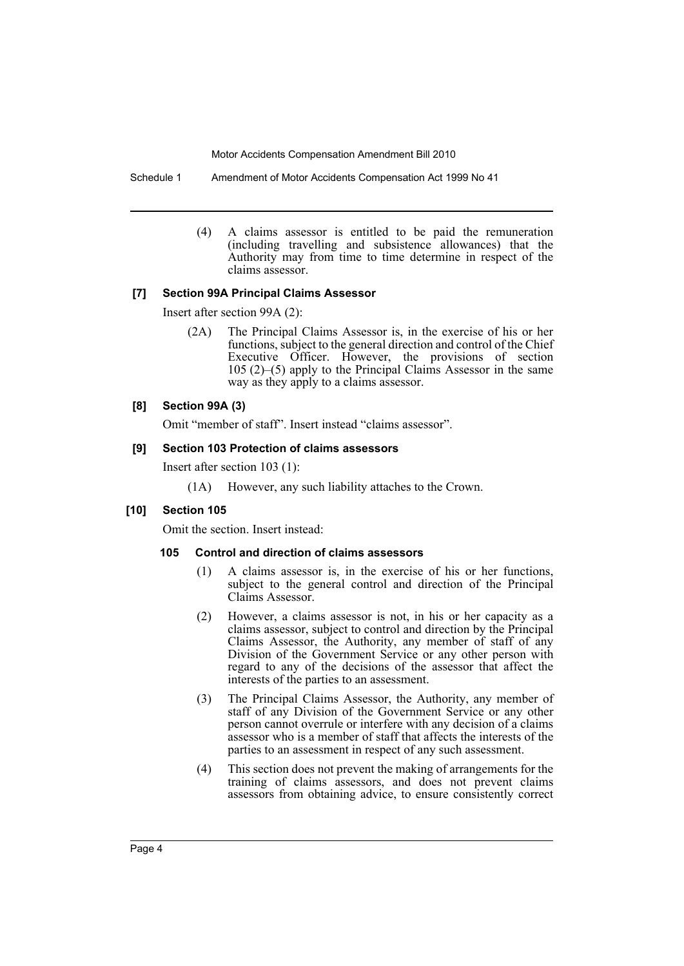Schedule 1 Amendment of Motor Accidents Compensation Act 1999 No 41

(4) A claims assessor is entitled to be paid the remuneration (including travelling and subsistence allowances) that the Authority may from time to time determine in respect of the claims assessor.

#### **[7] Section 99A Principal Claims Assessor**

Insert after section 99A (2):

(2A) The Principal Claims Assessor is, in the exercise of his or her functions, subject to the general direction and control of the Chief Executive Officer. However, the provisions of section 105 (2)–(5) apply to the Principal Claims Assessor in the same way as they apply to a claims assessor.

#### **[8] Section 99A (3)**

Omit "member of staff". Insert instead "claims assessor".

#### **[9] Section 103 Protection of claims assessors**

Insert after section 103 (1):

(1A) However, any such liability attaches to the Crown.

#### **[10] Section 105**

Omit the section. Insert instead:

#### **105 Control and direction of claims assessors**

- (1) A claims assessor is, in the exercise of his or her functions, subject to the general control and direction of the Principal Claims Assessor.
- (2) However, a claims assessor is not, in his or her capacity as a claims assessor, subject to control and direction by the Principal Claims Assessor, the Authority, any member of staff of any Division of the Government Service or any other person with regard to any of the decisions of the assessor that affect the interests of the parties to an assessment.
- (3) The Principal Claims Assessor, the Authority, any member of staff of any Division of the Government Service or any other person cannot overrule or interfere with any decision of a claims assessor who is a member of staff that affects the interests of the parties to an assessment in respect of any such assessment.
- (4) This section does not prevent the making of arrangements for the training of claims assessors, and does not prevent claims assessors from obtaining advice, to ensure consistently correct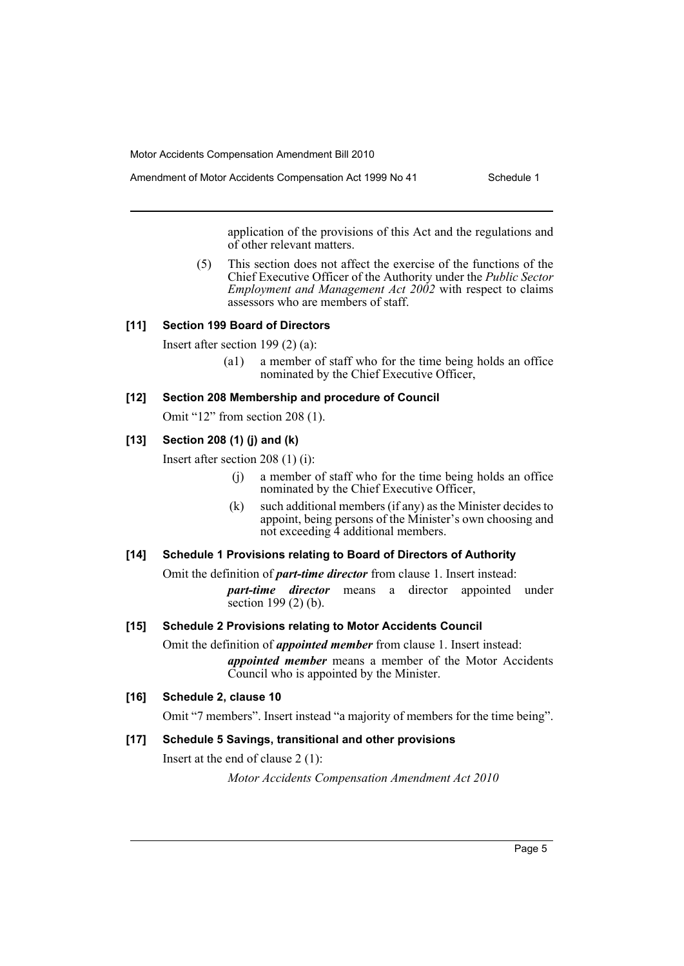Amendment of Motor Accidents Compensation Act 1999 No 41 Schedule 1

application of the provisions of this Act and the regulations and of other relevant matters.

(5) This section does not affect the exercise of the functions of the Chief Executive Officer of the Authority under the *Public Sector Employment and Management Act 2002* with respect to claims assessors who are members of staff.

#### **[11] Section 199 Board of Directors**

Insert after section 199 (2) (a):

(a1) a member of staff who for the time being holds an office nominated by the Chief Executive Officer,

#### **[12] Section 208 Membership and procedure of Council**

Omit "12" from section 208 (1).

#### **[13] Section 208 (1) (j) and (k)**

Insert after section 208 (1) (i):

- (j) a member of staff who for the time being holds an office nominated by the Chief Executive Officer,
- (k) such additional members (if any) as the Minister decides to appoint, being persons of the Minister's own choosing and not exceeding 4 additional members.

#### **[14] Schedule 1 Provisions relating to Board of Directors of Authority**

Omit the definition of *part-time director* from clause 1. Insert instead: *part-time director* means a director appointed under

section 199 (2) (b).

# **[15] Schedule 2 Provisions relating to Motor Accidents Council**

Omit the definition of *appointed member* from clause 1. Insert instead: *appointed member* means a member of the Motor Accidents Council who is appointed by the Minister.

# **[16] Schedule 2, clause 10**

Omit "7 members". Insert instead "a majority of members for the time being".

## **[17] Schedule 5 Savings, transitional and other provisions**

Insert at the end of clause 2 (1):

*Motor Accidents Compensation Amendment Act 2010*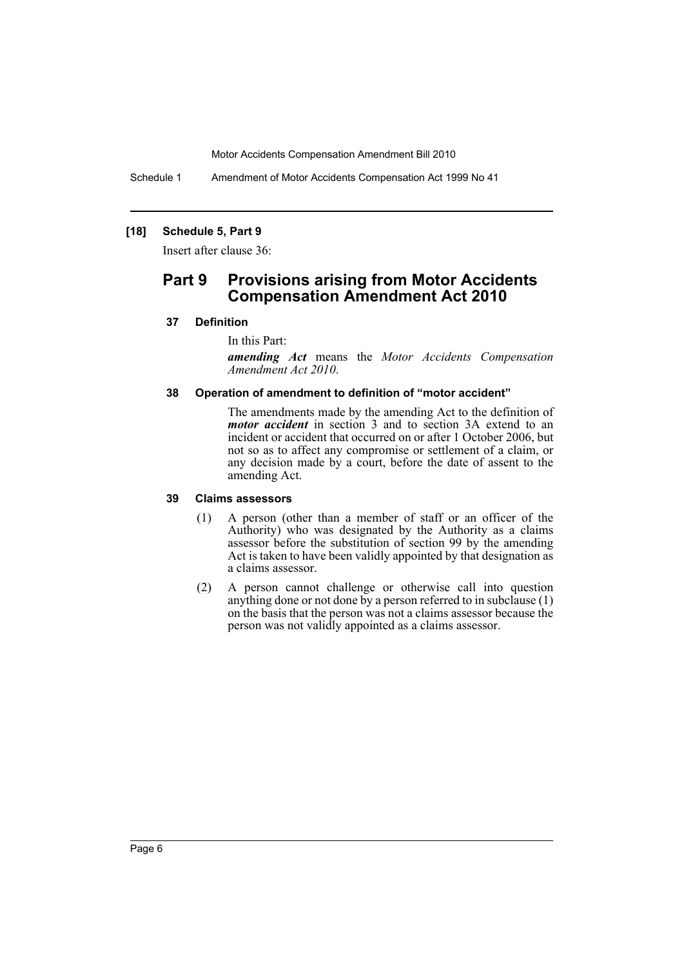Schedule 1 Amendment of Motor Accidents Compensation Act 1999 No 41

#### **[18] Schedule 5, Part 9**

Insert after clause 36:

# **Part 9 Provisions arising from Motor Accidents Compensation Amendment Act 2010**

#### **37 Definition**

In this Part:

*amending Act* means the *Motor Accidents Compensation Amendment Act 2010*.

#### **38 Operation of amendment to definition of "motor accident"**

The amendments made by the amending Act to the definition of *motor accident* in section 3 and to section 3A extend to an incident or accident that occurred on or after 1 October 2006, but not so as to affect any compromise or settlement of a claim, or any decision made by a court, before the date of assent to the amending Act.

#### **39 Claims assessors**

- (1) A person (other than a member of staff or an officer of the Authority) who was designated by the Authority as a claims assessor before the substitution of section 99 by the amending Act is taken to have been validly appointed by that designation as a claims assessor.
- (2) A person cannot challenge or otherwise call into question anything done or not done by a person referred to in subclause  $(1)$ on the basis that the person was not a claims assessor because the person was not validly appointed as a claims assessor.